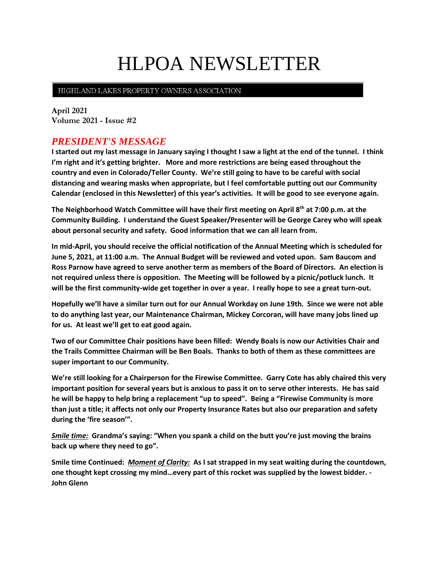# HLPOA NEWSLETTER

#### HIGHLAND LAKES PROPERTY OWNERS ASSOCIATION

**April 2021 Volume 2021 - Issue #2**

## *PRESIDENT'S MESSAGE*

**I started out my last message in January saying I thought I saw a light at the end of the tunnel. I think I'm right and it's getting brighter. More and more restrictions are being eased throughout the country and even in Colorado/Teller County. We're still going to have to be careful with social distancing and wearing masks when appropriate, but I feel comfortable putting out our Community Calendar (enclosed in this Newsletter) of this year's activities. It will be good to see everyone again.**

**The Neighborhood Watch Committee will have their first meeting on April 8th at 7:00 p.m. at the Community Building. I understand the Guest Speaker/Presenter will be George Carey who will speak about personal security and safety. Good information that we can all learn from.**

**In mid-April, you should receive the official notification of the Annual Meeting which is scheduled for June 5, 2021, at 11:00 a.m. The Annual Budget will be reviewed and voted upon. Sam Baucom and Ross Parnow have agreed to serve another term as members of the Board of Directors. An election is not required unless there is opposition. The Meeting will be followed by a picnic/potluck lunch. It will be the first community-wide get together in over a year. I really hope to see a great turn-out.**

**Hopefully we'll have a similar turn out for our Annual Workday on June 19th. Since we were not able to do anything last year, our Maintenance Chairman, Mickey Corcoran, will have many jobs lined up for us. At least we'll get to eat good again.**

**Two of our Committee Chair positions have been filled: Wendy Boals is now our Activities Chair and the Trails Committee Chairman will be Ben Boals. Thanks to both of them as these committees are super important to our Community.** 

**We're still looking for a Chairperson for the Firewise Committee. Garry Cote has ably chaired this very important position for several years but is anxious to pass it on to serve other interests. He has said he will be happy to help bring a replacement "up to speed". Being a "Firewise Community is more than just a title; it affects not only our Property Insurance Rates but also our preparation and safety during the 'fire season'".**

*Smile time:* **Grandma's saying: "When you spank a child on the butt you're just moving the brains back up where they need to go".**

**Smile time Continued:** *Moment of Clarity:* **As I sat strapped in my seat waiting during the countdown, one thought kept crossing my mind…every part of this rocket was supplied by the lowest bidder. - John Glenn**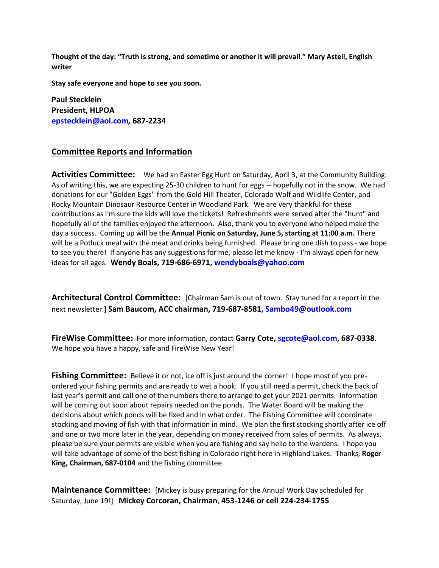**Thought of the day: "Truth is strong, and sometime or another it will prevail." Mary Astell, English writer**

**Stay safe everyone and hope to see you soon.**

**Paul Stecklein President, HLPOA epstecklein@aol.com***,* **687-2234**

### **Committee Reports and Information**

**Activities Committee:** We had an Easter Egg Hunt on Saturday, April 3, at the Community Building. As of writing this, we are expecting 25-30 children to hunt for eggs -- hopefully not in the snow. We had donations for our "Golden Eggs" from the Gold Hill Theater, Colorado Wolf and Wildlife Center, and Rocky Mountain Dinosaur Resource Center in Woodland Park. We are very thankful for these contributions as I'm sure the kids will love the tickets! Refreshments were served after the "hunt" and hopefully all of the families enjoyed the afternoon. Also, thank you to everyone who helped make the day a success. Coming up will be the **Annual Picnic on Saturday, June 5, starting at 11:00 a.m.** There will be a Potluck meal with the meat and drinks being furnished. Please bring one dish to pass - we hope to see you there! If anyone has any suggestions for me, please let me know - I'm always open for new ideas for all ages. **Wendy Boals, 719-686-6971, [wendyboals@yahoo.com](mailto:wendyboals@yahoo.com)**

**Architectural Control Committee:** [Chairman Sam is out of town. Stay tuned for a report in the next newsletter.] **Sam Baucom, ACC chairman, 719-687-8581, [Sambo49@outlook.com](mailto:Sambo49@outlook.com)**

**FireWise Committee:** For more information, contact **Garry Cote[, sgcote@aol.com,](file:///C:/Users/Sue/Desktop/HLWD/HLPOA/POA%20Newsletter/sgcote@aol.com) 687-0338**. We hope you have a happy, safe and FireWise New Year!

**Fishing Committee:** Believe it or not, ice off is just around the corner! I hope most of you preordered your fishing permits and are ready to wet a hook. If you still need a permit, check the back of last year's permit and call one of the numbers there to arrange to get your 2021 permits. Information will be coming out soon about repairs needed on the ponds. The Water Board will be making the decisions about which ponds will be fixed and in what order. The Fishing Committee will coordinate stocking and moving of fish with that information in mind. We plan the first stocking shortly after ice off and one or two more later in the year, depending on money received from sales of permits. As always, please be sure your permits are visible when you are fishing and say hello to the wardens. I hope you will take advantage of some of the best fishing in Colorado right here in Highland Lakes. Thanks, **Roger King, Chairman, 687-0104** and the fishing committee.

**Maintenance Committee:** [Mickey is busy preparing for the Annual Work Day scheduled for Saturday, June 19!] **Mickey Corcoran, Chairman**, **453-1246 or cell 224-234-1755**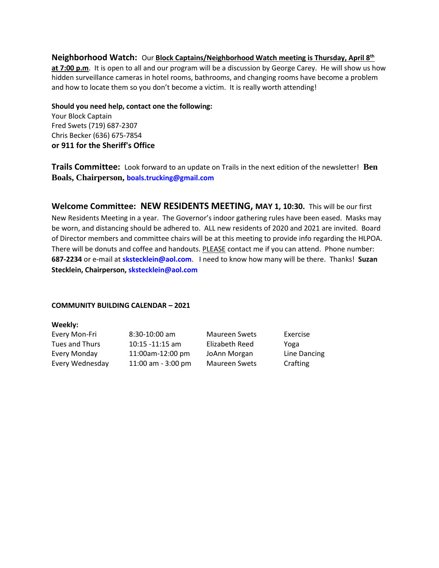#### **Neighborhood Watch:** Our **Block Captains/Neighborhood Watch meeting is Thursday, April 8th**

**at 7:00 p.m**. It is open to all and our program will be a discussion by George Carey. He will show us how hidden surveillance cameras in hotel rooms, bathrooms, and changing rooms have become a problem and how to locate them so you don't become a victim. It is really worth attending!

**Should you need help, contact one the following:** 

Your Block Captain Fred Swets (719) 687-2307 Chris Becker (636) 675-7854 **or 911 for the Sheriff's Office**

**Trails Committee:** Look forward to an update on Trails in the next edition of the newsletter! **Ben Boals, Chairperson, boals.trucking@gmail.com**

**Welcome Committee: NEW RESIDENTS MEETING, MAY 1, 10:30.** This will be our first New Residents Meeting in a year. The Governor's indoor gathering rules have been eased. Masks may be worn, and distancing should be adhered to. ALL new residents of 2020 and 2021 are invited. Board of Director members and committee chairs will be at this meeting to provide info regarding the HLPOA. There will be donuts and coffee and handouts. PLEASE contact me if you can attend. Phone number: **687-2234** or e-mail at **skstecklein@aol.com**. I need to know how many will be there. Thanks! **Suzan Stecklein, Chairperson, [skstecklein@aol.com](mailto:skstecklein@aol.com)**

#### **COMMUNITY BUILDING CALENDAR – 2021**

#### **Weekly:**

| Every Mon-Fri   | $8:30-10:00$ am      | <b>Maureen Swets</b> | Exercise     |
|-----------------|----------------------|----------------------|--------------|
| Tues and Thurs  | $10:15 - 11:15$ am   | Elizabeth Reed       | Yoga         |
| Every Monday    | 11:00am-12:00 pm     | JoAnn Morgan         | Line Dancing |
| Every Wednesday | 11:00 am $-$ 3:00 pm | <b>Maureen Swets</b> | Crafting     |
|                 |                      |                      |              |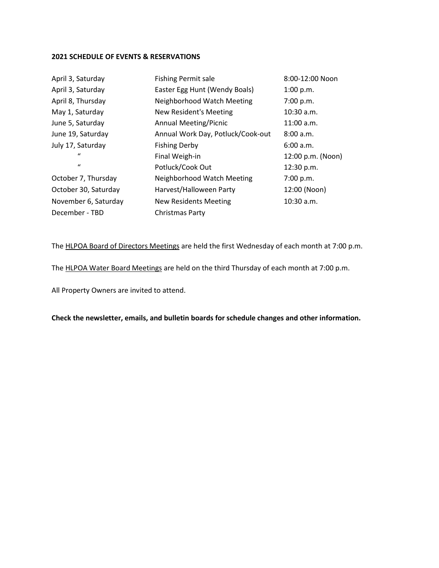#### **2021 SCHEDULE OF EVENTS & RESERVATIONS**

| April 3, Saturday    | <b>Fishing Permit sale</b>        | 8:00-12:00 Noon   |
|----------------------|-----------------------------------|-------------------|
| April 3, Saturday    | Easter Egg Hunt (Wendy Boals)     | 1:00 p.m.         |
| April 8, Thursday    | Neighborhood Watch Meeting        | 7:00 p.m.         |
| May 1, Saturday      | <b>New Resident's Meeting</b>     | $10:30$ a.m.      |
| June 5, Saturday     | <b>Annual Meeting/Picnic</b>      | $11:00$ a.m.      |
| June 19, Saturday    | Annual Work Day, Potluck/Cook-out | 8:00 a.m.         |
| July 17, Saturday    | <b>Fishing Derby</b>              | 6:00 a.m.         |
| $\mathcal{U}$        | Final Weigh-in                    | 12:00 p.m. (Noon) |
| $\mathbf{u}$         | Potluck/Cook Out                  | 12:30 p.m.        |
| October 7, Thursday  | Neighborhood Watch Meeting        | 7:00 p.m.         |
| October 30, Saturday | Harvest/Halloween Party           | 12:00 (Noon)      |
| November 6, Saturday | New Residents Meeting             | $10:30$ a.m.      |
| December - TBD       | Christmas Party                   |                   |

The HLPOA Board of Directors Meetings are held the first Wednesday of each month at 7:00 p.m.

The HLPOA Water Board Meetings are held on the third Thursday of each month at 7:00 p.m.

All Property Owners are invited to attend.

**Check the newsletter, emails, and bulletin boards for schedule changes and other information.**